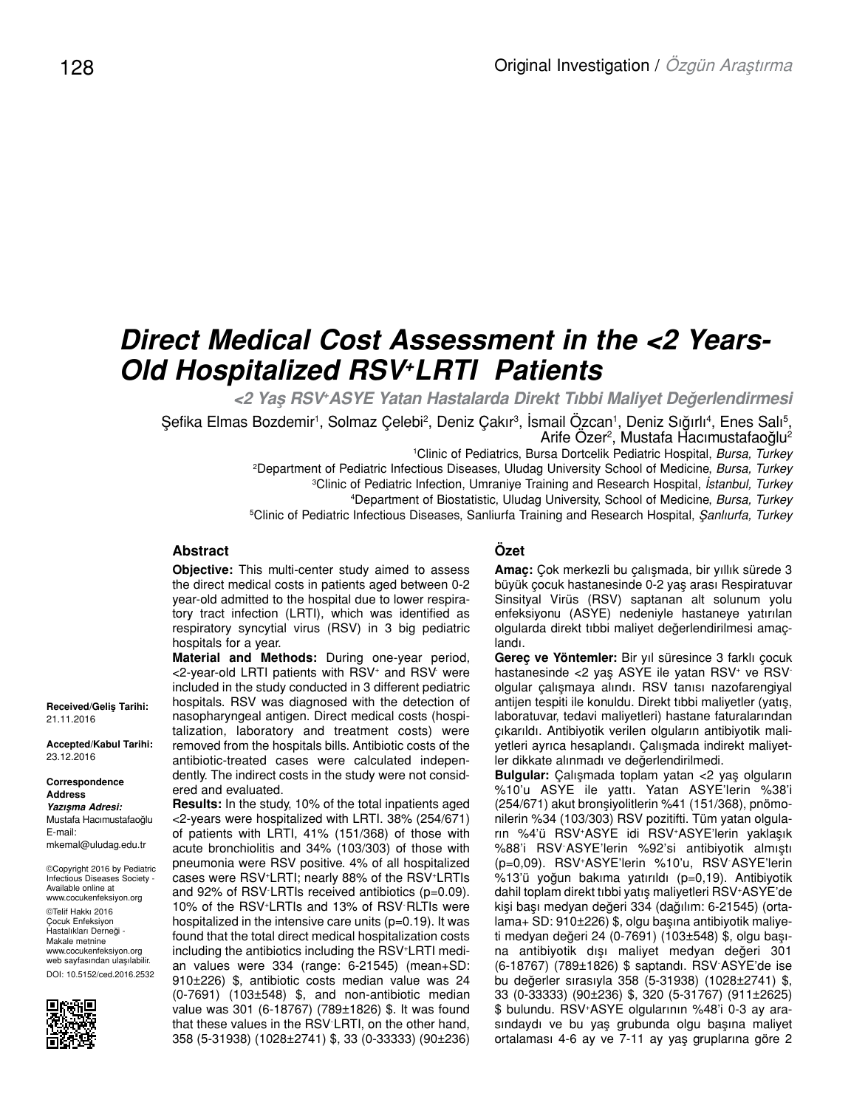# *Direct Medical Cost Assessment in the <2 Years-Old Hospitalized RSV+LRTI Patients*

*<2 Yaş RSV+ ASYE Yatan Hastalarda Direkt Tıbbi Maliyet Değerlendirmesi*

Şefika Elmas Bozdemir<sup>1</sup>, Solmaz Çelebi<sup>2</sup>, Deniz Çakır<sup>3</sup>, İsmail Özcan<sup>1</sup>, Deniz Sığırlı<sup>4</sup>, Enes Salı<sup>5</sup>, Arife Özer<sup>2</sup>, Mustafa Hacımustafaoğlu<sup>2</sup>

1 Clinic of Pediatrics, Bursa Dortcelik Pediatric Hospital, *Bursa, Turkey*

 Department of Pediatric Infectious Diseases, Uludag University School of Medicine, *Bursa, Turkey* Clinic of Pediatric Infection, Umraniye Training and Research Hospital, *İstanbul, Turkey* Department of Biostatistic, Uludag University, School of Medicine, *Bursa, Turkey* Clinic of Pediatric Infectious Diseases, Sanliurfa Training and Research Hospital, *Şanlıurfa, Turkey*

### **Abstract**

**Objective:** This multi-center study aimed to assess the direct medical costs in patients aged between 0-2 year-old admitted to the hospital due to lower respiratory tract infection (LRTI), which was identified as respiratory syncytial virus (RSV) in 3 big pediatric hospitals for a year.

**Material and Methods:** During one-year period, <2-year-old LRTI patients with RSV+ and RSV- were included in the study conducted in 3 different pediatric hospitals. RSV was diagnosed with the detection of nasopharyngeal antigen. Direct medical costs (hospitalization, laboratory and treatment costs) were removed from the hospitals bills. Antibiotic costs of the antibiotic-treated cases were calculated independently. The indirect costs in the study were not considered and evaluated.

**Results:** In the study, 10% of the total inpatients aged <2-years were hospitalized with LRTI. 38% (254/671) of patients with LRTI, 41% (151/368) of those with acute bronchiolitis and 34% (103/303) of those with pneumonia were RSV positive. 4% of all hospitalized cases were RSV+LRTI; nearly 88% of the RSV+LRTIs and 92% of RSV-LRTIs received antibiotics (p=0.09). 10% of the RSV+LRTIs and 13% of RSV-RLTIs were hospitalized in the intensive care units (p=0.19). It was found that the total direct medical hospitalization costs including the antibiotics including the RSV+LRTI median values were 334 (range: 6-21545) (mean+SD: 910±226) \$, antibiotic costs median value was 24  $(0-7691)$   $(103\pm548)$  \$, and non-antibiotic median value was 301 (6-18767) (789±1826) \$. It was found that these values in the RSV-LRTI, on the other hand, 358 (5-31938) (1028±2741) \$, 33 (0-33333) (90±236)

### **Özet**

**Amaç:** Çok merkezli bu çalışmada, bir yıllık sürede 3 büyük çocuk hastanesinde 0-2 yaş arası Respiratuvar Sinsityal Virüs (RSV) saptanan alt solunum yolu enfeksiyonu (ASYE) nedeniyle hastaneye yatırılan olgularda direkt tıbbi maliyet değerlendirilmesi amaçlandı.

**Gereç ve Yöntemler:** Bir yıl süresince 3 farklı çocuk hastanesinde <2 yaş ASYE ile yatan RSV+ ve RSVolgular çalışmaya alındı. RSV tanısı nazofarengiyal antijen tespiti ile konuldu. Direkt tıbbi maliyetler (yatış, laboratuvar, tedavi maliyetleri) hastane faturalarından çıkarıldı. Antibiyotik verilen olguların antibiyotik maliyetleri ayrıca hesaplandı. Çalışmada indirekt maliyetler dikkate alınmadı ve değerlendirilmedi.

**Bulgular:** Çalışmada toplam yatan <2 yaş olguların %10'u ASYE ile yattı. Yatan ASYE'lerin %38'i (254/671) akut bronşiyolitlerin %41 (151/368), pnömonilerin %34 (103/303) RSV pozitifti. Tüm yatan olguların %4'ü RSV+ASYE idi RSV+ASYE'lerin yaklaşık %88'i RSV-ASYE'lerin %92'si antibiyotik almıştı (p=0,09). RSV+ASYE'lerin %10'u, RSV-ASYE'lerin %13'ü yoğun bakıma yatırıldı (p=0,19). Antibiyotik dahil toplam direkt tıbbi yatış maliyetleri RSV+ASYE'de kişi başı medyan değeri 334 (dağılım: 6-21545) (ortalama+ SD: 910±226) \$, olgu başına antibiyotik maliyeti medyan değeri 24 (0-7691) (103±548) \$, olgu başına antibiyotik dışı maliyet medyan değeri 301 (6-18767) (789±1826) \$ saptandı. RSV-ASYE'de ise bu değerler sırasıyla 358 (5-31938) (1028±2741) \$, 33 (0-33333) (90±236) \$, 320 (5-31767) (911±2625) \$ bulundu. RSV+ASYE olgularının %48'i 0-3 ay arasındaydı ve bu yaş grubunda olgu başına maliyet ortalaması 4-6 ay ve 7-11 ay yaş gruplarına göre 2

**Received/Geliş Tarihi:**  21.11.2016

**Accepted/Kabul Tarihi:** 23.12.2016

**Correspondence Address** *Yazışma Adresi:* Mustafa Hacımustafaoğlu E-mail: mkemal@uludag.edu.tr

©Copyright 2016 by Pediatric Infectious Diseases Society - Available online at www.cocukenfeksiyon.org ©Telif Hakkı 2016 Çocuk Enfeksiyon Hastalıkları Derneği - Makale metnine www.cocukenfeksiyon.org web sayfasından ulaşılabilir. DOI: 10.5152/ced.2016.2532

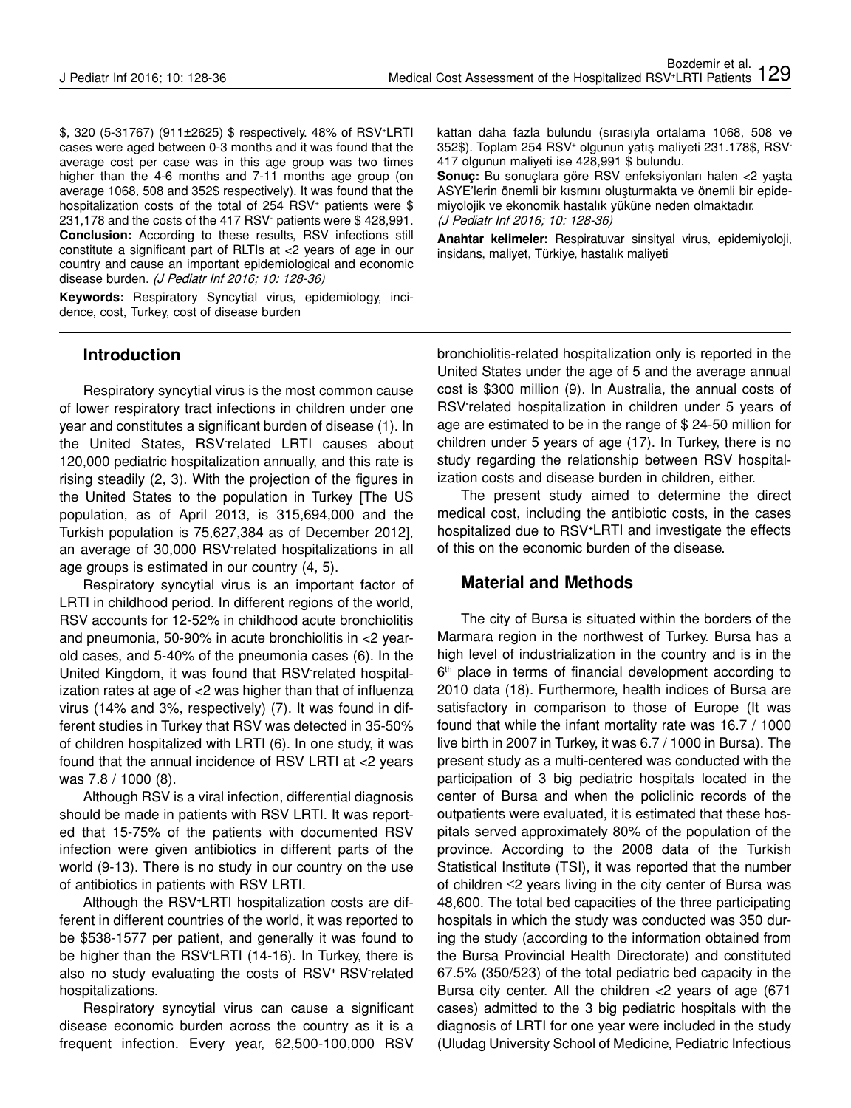\$, 320 (5-31767) (911±2625) \$ respectively. 48% of RSV+LRTI cases were aged between 0-3 months and it was found that the average cost per case was in this age group was two times higher than the 4-6 months and 7-11 months age group (on average 1068, 508 and 352\$ respectively). It was found that the hospitalization costs of the total of 254 RSV<sup>+</sup> patients were \$ 231,178 and the costs of the 417 RSV- patients were \$ 428,991. **Conclusion:** According to these results, RSV infections still constitute a significant part of RLTIs at <2 years of age in our country and cause an important epidemiological and economic disease burden. (J Pediatr Inf 2016; 10: 128-36)

**Keywords:** Respiratory Syncytial virus, epidemiology, incidence, cost, Turkey, cost of disease burden

## **Introduction**

Respiratory syncytial virus is the most common cause of lower respiratory tract infections in children under one year and constitutes a significant burden of disease (1). In the United States, RSV<sup>-</sup>related LRTI causes about 120,000 pediatric hospitalization annually, and this rate is rising steadily (2, 3). With the projection of the figures in the United States to the population in Turkey [The US population, as of April 2013, is 315,694,000 and the Turkish population is 75,627,384 as of December 2012], an average of 30,000 RSV**-**related hospitalizations in all age groups is estimated in our country (4, 5).

Respiratory syncytial virus is an important factor of LRTI in childhood period. In different regions of the world, RSV accounts for 12-52% in childhood acute bronchiolitis and pneumonia, 50-90% in acute bronchiolitis in <2 yearold cases, and 5-40% of the pneumonia cases (6). In the United Kingdom, it was found that RSV**-**related hospitalization rates at age of <2 was higher than that of influenza virus (14% and 3%, respectively) (7). It was found in different studies in Turkey that RSV was detected in 35-50% of children hospitalized with LRTI (6). In one study, it was found that the annual incidence of RSV LRTI at <2 years was 7.8 / 1000 (8).

Although RSV is a viral infection, differential diagnosis should be made in patients with RSV LRTI. It was reported that 15-75% of the patients with documented RSV infection were given antibiotics in different parts of the world (9-13). There is no study in our country on the use of antibiotics in patients with RSV LRTI.

Although the RSV**+**LRTI hospitalization costs are different in different countries of the world, it was reported to be \$538-1577 per patient, and generally it was found to be higher than the RSV**-**LRTI (14-16). In Turkey, there is also no study evaluating the costs of RSV**+** RSV**-**related hospitalizations.

Respiratory syncytial virus can cause a significant disease economic burden across the country as it is a frequent infection. Every year, 62,500-100,000 RSV kattan daha fazla bulundu (sırasıyla ortalama 1068, 508 ve 352\$). Toplam 254 RSV+ olgunun yatış maliyeti 231.178\$, RSV-417 olgunun maliyeti ise 428,991 \$ bulundu.

**Sonuç:** Bu sonuçlara göre RSV enfeksiyonları halen <2 yaşta ASYE'lerin önemli bir kısmını oluşturmakta ve önemli bir epidemiyolojik ve ekonomik hastalık yüküne neden olmaktadır. (J Pediatr Inf 2016; 10: 128-36)

**Anahtar kelimeler:** Respiratuvar sinsityal virus, epidemiyoloji, insidans, maliyet, Türkiye, hastalık maliyeti

bronchiolitis-related hospitalization only is reported in the United States under the age of 5 and the average annual cost is \$300 million (9). In Australia, the annual costs of RSV**-**related hospitalization in children under 5 years of age are estimated to be in the range of \$ 24-50 million for children under 5 years of age (17). In Turkey, there is no study regarding the relationship between RSV hospitalization costs and disease burden in children, either.

The present study aimed to determine the direct medical cost, including the antibiotic costs, in the cases hospitalized due to RSV**<sup>+</sup>**LRTI and investigate the effects of this on the economic burden of the disease.

## **Material and Methods**

The city of Bursa is situated within the borders of the Marmara region in the northwest of Turkey. Bursa has a high level of industrialization in the country and is in the 6<sup>th</sup> place in terms of financial development according to 2010 data (18). Furthermore, health indices of Bursa are satisfactory in comparison to those of Europe (It was found that while the infant mortality rate was 16.7 / 1000 live birth in 2007 in Turkey, it was 6.7 / 1000 in Bursa). The present study as a multi-centered was conducted with the participation of 3 big pediatric hospitals located in the center of Bursa and when the policlinic records of the outpatients were evaluated, it is estimated that these hospitals served approximately 80% of the population of the province. According to the 2008 data of the Turkish Statistical Institute (TSI), it was reported that the number of children ≤2 years living in the city center of Bursa was 48,600. The total bed capacities of the three participating hospitals in which the study was conducted was 350 during the study (according to the information obtained from the Bursa Provincial Health Directorate) and constituted 67.5% (350/523) of the total pediatric bed capacity in the Bursa city center. All the children <2 years of age (671 cases) admitted to the 3 big pediatric hospitals with the diagnosis of LRTI for one year were included in the study (Uludag University School of Medicine, Pediatric Infectious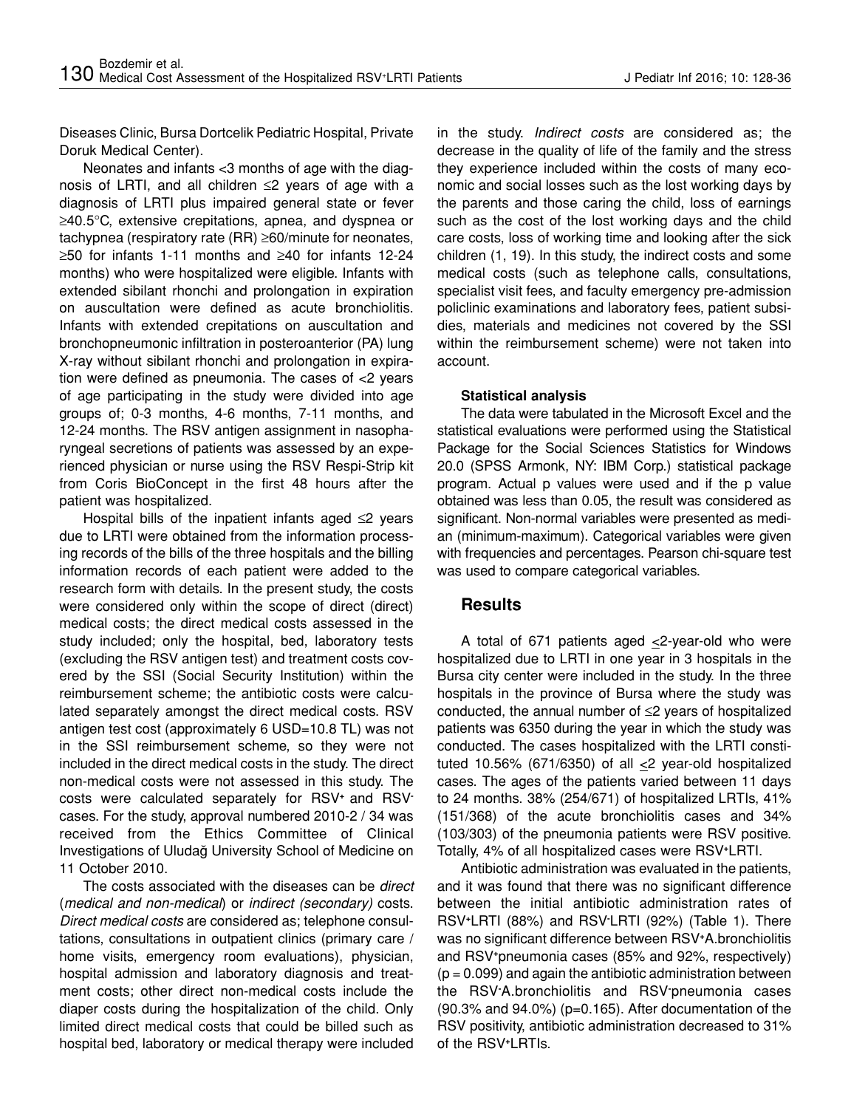Diseases Clinic, Bursa Dortcelik Pediatric Hospital, Private Doruk Medical Center).

Neonates and infants <3 months of age with the diagnosis of LRTI, and all children ≤2 years of age with a diagnosis of LRTI plus impaired general state or fever ≥40.5°C, extensive crepitations, apnea, and dyspnea or tachypnea (respiratory rate (RR) ≥60/minute for neonates, ≥50 for infants 1-11 months and ≥40 for infants 12-24 months) who were hospitalized were eligible. Infants with extended sibilant rhonchi and prolongation in expiration on auscultation were defined as acute bronchiolitis. Infants with extended crepitations on auscultation and bronchopneumonic infiltration in posteroanterior (PA) lung X-ray without sibilant rhonchi and prolongation in expiration were defined as pneumonia. The cases of <2 years of age participating in the study were divided into age groups of; 0-3 months, 4-6 months, 7-11 months, and 12-24 months. The RSV antigen assignment in nasopharyngeal secretions of patients was assessed by an experienced physician or nurse using the RSV Respi-Strip kit from Coris BioConcept in the first 48 hours after the patient was hospitalized.

Hospital bills of the inpatient infants aged ≤2 years due to LRTI were obtained from the information processing records of the bills of the three hospitals and the billing information records of each patient were added to the research form with details. In the present study, the costs were considered only within the scope of direct (direct) medical costs; the direct medical costs assessed in the study included; only the hospital, bed, laboratory tests (excluding the RSV antigen test) and treatment costs covered by the SSI (Social Security Institution) within the reimbursement scheme; the antibiotic costs were calculated separately amongst the direct medical costs. RSV antigen test cost (approximately 6 USD=10.8 TL) was not in the SSI reimbursement scheme, so they were not included in the direct medical costs in the study. The direct non-medical costs were not assessed in this study. The costs were calculated separately for RSV**+** and RSVcases. For the study, approval numbered 2010-2 / 34 was received from the Ethics Committee of Clinical Investigations of Uludağ University School of Medicine on 11 October 2010.

The costs associated with the diseases can be *direct* (*medical and non-medical*) or *indirect (secondary)* costs. *Direct medical costs* are considered as; telephone consultations, consultations in outpatient clinics (primary care / home visits, emergency room evaluations), physician, hospital admission and laboratory diagnosis and treatment costs; other direct non-medical costs include the diaper costs during the hospitalization of the child. Only limited direct medical costs that could be billed such as hospital bed, laboratory or medical therapy were included

in the study. *Indirect costs* are considered as; the decrease in the quality of life of the family and the stress they experience included within the costs of many economic and social losses such as the lost working days by the parents and those caring the child, loss of earnings such as the cost of the lost working days and the child care costs, loss of working time and looking after the sick children (1, 19). In this study, the indirect costs and some medical costs (such as telephone calls, consultations, specialist visit fees, and faculty emergency pre-admission policlinic examinations and laboratory fees, patient subsidies, materials and medicines not covered by the SSI within the reimbursement scheme) were not taken into account.

### **Statistical analysis**

The data were tabulated in the Microsoft Excel and the statistical evaluations were performed using the Statistical Package for the Social Sciences Statistics for Windows 20.0 (SPSS Armonk, NY: IBM Corp.) statistical package program. Actual p values were used and if the p value obtained was less than 0.05, the result was considered as significant. Non-normal variables were presented as median (minimum-maximum). Categorical variables were given with frequencies and percentages. Pearson chi-square test was used to compare categorical variables.

# **Results**

A total of 671 patients aged <2-year-old who were hospitalized due to LRTI in one year in 3 hospitals in the Bursa city center were included in the study. In the three hospitals in the province of Bursa where the study was conducted, the annual number of ≤2 years of hospitalized patients was 6350 during the year in which the study was conducted. The cases hospitalized with the LRTI constituted 10.56% (671/6350) of all <2 year-old hospitalized cases. The ages of the patients varied between 11 days to 24 months. 38% (254/671) of hospitalized LRTIs, 41% (151/368) of the acute bronchiolitis cases and 34% (103/303) of the pneumonia patients were RSV positive. Totally, 4% of all hospitalized cases were RSV**<sup>+</sup>**LRTI.

Antibiotic administration was evaluated in the patients, and it was found that there was no significant difference between the initial antibiotic administration rates of RSV**+**LRTI (88%) and RSV**-**LRTI (92%) (Table 1). There was no significant difference between RSV**+**A.bronchiolitis and RSV**+**pneumonia cases (85% and 92%, respectively)  $(p = 0.099)$  and again the antibiotic administration between the RSV**-**A.bronchiolitis and RSV**-**pneumonia cases  $(90.3\%$  and  $94.0\%)$  ( $p=0.165$ ). After documentation of the RSV positivity, antibiotic administration decreased to 31% of the RSV**+**LRTIs.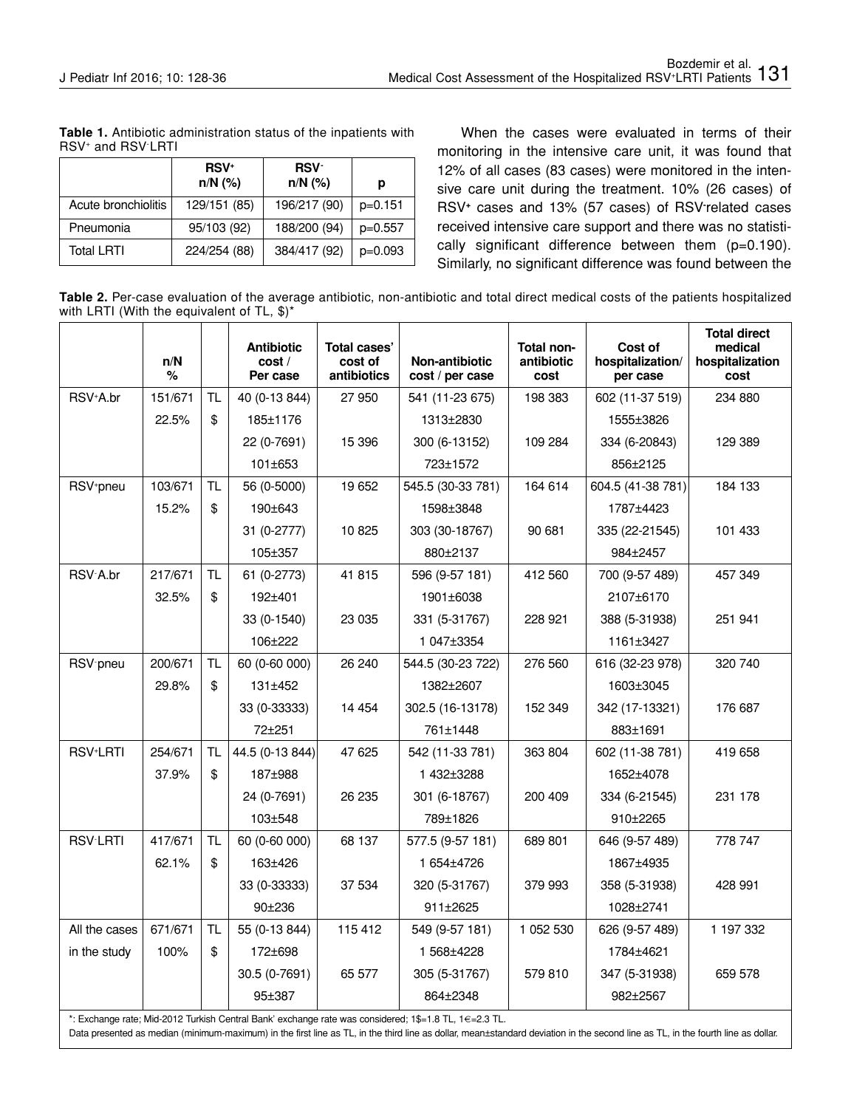|                     | <b>RSV+</b><br>$n/N$ (%) | <b>RSV</b><br>$n/N$ (%) | р         |
|---------------------|--------------------------|-------------------------|-----------|
| Acute bronchiolitis | 129/151 (85)             | 196/217 (90)            | $p=0.151$ |
| Pneumonia           | 95/103 (92)              | 188/200 (94)            | $p=0.557$ |
| Total LRTI          | 224/254 (88)             | 384/417 (92)            | $p=0.093$ |

**Table 1.** Antibiotic administration status of the inpatients with RSV+ and RSV-LRTI

When the cases were evaluated in terms of their monitoring in the intensive care unit, it was found that 12% of all cases (83 cases) were monitored in the intensive care unit during the treatment. 10% (26 cases) of RSV**+** cases and 13% (57 cases) of RSV**-**related cases received intensive care support and there was no statistically significant difference between them (p=0.190). Similarly, no significant difference was found between the

**Table 2.** Per-case evaluation of the average antibiotic, non-antibiotic and total direct medical costs of the patients hospitalized with LRTI (With the equivalent of TL, \$)\*

|                       | n/N<br>$\%$ |              | <b>Antibiotic</b><br>cost/<br>Per case | Total cases'<br>cost of<br>antibiotics | Non-antibiotic<br>cost / per case | Total non-<br>antibiotic<br>cost | Cost of<br>hospitalization/<br>per case | <b>Total direct</b><br>medical<br>hospitalization<br>cost |
|-----------------------|-------------|--------------|----------------------------------------|----------------------------------------|-----------------------------------|----------------------------------|-----------------------------------------|-----------------------------------------------------------|
| RSV <sup>+</sup> A.br | 151/671     | TL           | 40 (0-13 844)                          | 27 950                                 | 541 (11-23 675)                   | 198 383                          | 602 (11-37 519)                         | 234 880                                                   |
|                       | 22.5%       | $\$\$        | 185±1176                               |                                        | 1313±2830                         |                                  | 1555±3826                               |                                                           |
|                       |             |              | 22 (0-7691)                            | 15 396                                 | 300 (6-13152)                     | 109 284                          | 334 (6-20843)                           | 129 389                                                   |
|                       |             |              | 101±653                                |                                        | 723±1572                          |                                  | 856±2125                                |                                                           |
| RSV <sup>+</sup> pneu | 103/671     | <b>TL</b>    | 56 (0-5000)                            | 19 652                                 | 545.5 (30-33 781)                 | 164 614                          | 604.5 (41-38 781)                       | 184 133                                                   |
|                       | 15.2%       | $\mathbb{S}$ | 190±643                                |                                        | 1598±3848                         |                                  | 1787±4423                               |                                                           |
|                       |             |              | 31 (0-2777)                            | 10825                                  | 303 (30-18767)                    | 90 681                           | 335 (22-21545)                          | 101 433                                                   |
|                       |             |              | 105±357                                |                                        | 880±2137                          |                                  | 984±2457                                |                                                           |
| RSV A.br              | 217/671     | <b>TL</b>    | 61 (0-2773)                            | 41815                                  | 596 (9-57 181)                    | 412 560                          | 700 (9-57 489)                          | 457 349                                                   |
|                       | 32.5%       | $\mathbb{S}$ | 192±401                                |                                        | 1901±6038                         |                                  | 2107±6170                               |                                                           |
|                       |             |              | 33 (0-1540)                            | 23 035                                 | 331 (5-31767)                     | 228 921                          | 388 (5-31938)                           | 251 941                                                   |
|                       |             |              | 106±222                                |                                        | 1 047±3354                        |                                  | 1161±3427                               |                                                           |
| RSV-pneu              | 200/671     | <b>TL</b>    | 60 (0-60 000)                          | 26 240                                 | 544.5 (30-23 722)                 | 276 560                          | 616 (32-23 978)                         | 320 740                                                   |
|                       | 29.8%       | \$           | 131±452                                |                                        | 1382±2607                         |                                  | 1603±3045                               |                                                           |
|                       |             |              | 33 (0-33333)                           | 14 4 54                                | 302.5 (16-13178)                  | 152 349                          | 342 (17-13321)                          | 176 687                                                   |
|                       |             |              | 72±251                                 |                                        | 761±1448                          |                                  | 883±1691                                |                                                           |
| RSV <sup>+</sup> LRTI | 254/671     | TL           | 44.5 (0-13 844)                        | 47 625                                 | 542 (11-33 781)                   | 363 804                          | 602 (11-38 781)                         | 419 658                                                   |
|                       | 37.9%       | $\$\$        | 187±988                                |                                        | 1432±3288                         |                                  | 1652±4078                               |                                                           |
|                       |             |              | 24 (0-7691)                            | 26 235                                 | 301 (6-18767)                     | 200 409                          | 334 (6-21545)                           | 231 178                                                   |
|                       |             |              | 103±548                                |                                        | 789±1826                          |                                  | 910±2265                                |                                                           |
| <b>RSV</b> LRTI       | 417/671     | <b>TL</b>    | 60 (0-60 000)                          | 68 137                                 | 577.5 (9-57 181)                  | 689 801                          | 646 (9-57 489)                          | 778 747                                                   |
|                       | 62.1%       | $\mathbb{S}$ | 163±426                                |                                        | 1 654±4726                        |                                  | 1867±4935                               |                                                           |
|                       |             |              | 33 (0-33333)                           | 37 534                                 | 320 (5-31767)                     | 379 993                          | 358 (5-31938)                           | 428 991                                                   |
|                       |             |              | 90±236                                 |                                        | 911±2625                          |                                  | 1028±2741                               |                                                           |
| All the cases         | 671/671     | TL           | 55 (0-13 844)                          | 115 412                                | 549 (9-57 181)                    | 1 052 530                        | 626 (9-57 489)                          | 1 197 332                                                 |
| in the study          | 100%        | $\$\$        | 172±698                                |                                        | 1568±4228                         |                                  | 1784±4621                               |                                                           |
|                       |             |              | 30.5 (0-7691)                          | 65 577                                 | 305 (5-31767)                     | 579 810                          | 347 (5-31938)                           | 659 578                                                   |
|                       |             |              | 95±387                                 |                                        | 864±2348                          |                                  | 982±2567                                |                                                           |

\*: Exchange rate; Mid-2012 Turkish Central Bank' exchange rate was considered; 1\$=1.8 TL, 1€=2.3 TL.

Data presented as median (minimum-maximum) in the first line as TL, in the third line as dollar, mean±standard deviation in the second line as TL, in the fourth line as dollar.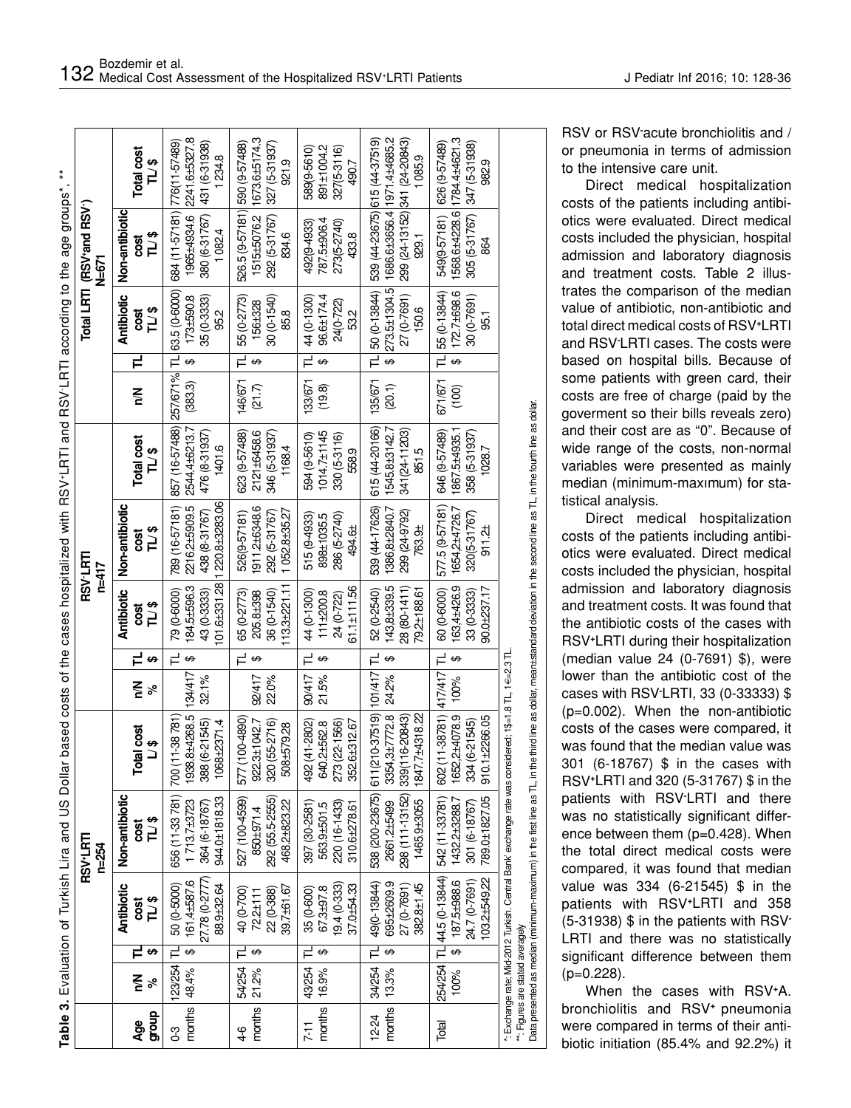| $\ddot{\phantom{0}}$                                                                                                                                                                                                                                                  |
|-----------------------------------------------------------------------------------------------------------------------------------------------------------------------------------------------------------------------------------------------------------------------|
|                                                                                                                                                                                                                                                                       |
|                                                                                                                                                                                                                                                                       |
|                                                                                                                                                                                                                                                                       |
| )                                                                                                                                                                                                                                                                     |
| <b>.c.id.vid.c.fr.c.id.vid.id.v</b><br>י<br>נא אל 2                                                                                                                                                                                                                   |
|                                                                                                                                                                                                                                                                       |
|                                                                                                                                                                                                                                                                       |
|                                                                                                                                                                                                                                                                       |
|                                                                                                                                                                                                                                                                       |
|                                                                                                                                                                                                                                                                       |
| $\frac{1}{2}$                                                                                                                                                                                                                                                         |
|                                                                                                                                                                                                                                                                       |
|                                                                                                                                                                                                                                                                       |
|                                                                                                                                                                                                                                                                       |
|                                                                                                                                                                                                                                                                       |
| )<br>)<br>)<br>:<br>;                                                                                                                                                                                                                                                 |
|                                                                                                                                                                                                                                                                       |
|                                                                                                                                                                                                                                                                       |
|                                                                                                                                                                                                                                                                       |
|                                                                                                                                                                                                                                                                       |
|                                                                                                                                                                                                                                                                       |
|                                                                                                                                                                                                                                                                       |
|                                                                                                                                                                                                                                                                       |
|                                                                                                                                                                                                                                                                       |
| ind is code to the code of the code of the code of the code of the code of the code of the code of the code of the code of the code of the code of the code of the code of the code of the code of the code of the code of the<br>)<br>)<br>)<br>)<br>)<br>)<br>)<br> |
|                                                                                                                                                                                                                                                                       |
|                                                                                                                                                                                                                                                                       |
|                                                                                                                                                                                                                                                                       |
|                                                                                                                                                                                                                                                                       |
|                                                                                                                                                                                                                                                                       |
| $\vdots$                                                                                                                                                                                                                                                              |
|                                                                                                                                                                                                                                                                       |
|                                                                                                                                                                                                                                                                       |
|                                                                                                                                                                                                                                                                       |
|                                                                                                                                                                                                                                                                       |
| )<br>)<br>)<br>)<br>)<br>)<br>)<br>)                                                                                                                                                                                                                                  |
|                                                                                                                                                                                                                                                                       |
|                                                                                                                                                                                                                                                                       |
|                                                                                                                                                                                                                                                                       |
|                                                                                                                                                                                                                                                                       |
|                                                                                                                                                                                                                                                                       |
| "ס להני המונח המונח המונח המונח המונח המונח המונח המונח המונח המונח המונח המונח המונח המונח המונח המונח המונח ה                                                                                                                                                       |
|                                                                                                                                                                                                                                                                       |
|                                                                                                                                                                                                                                                                       |
|                                                                                                                                                                                                                                                                       |
|                                                                                                                                                                                                                                                                       |
|                                                                                                                                                                                                                                                                       |
|                                                                                                                                                                                                                                                                       |
|                                                                                                                                                                                                                                                                       |
| <b>RUNEULO</b>                                                                                                                                                                                                                                                        |
| ĺ                                                                                                                                                                                                                                                                     |
|                                                                                                                                                                                                                                                                       |
|                                                                                                                                                                                                                                                                       |
|                                                                                                                                                                                                                                                                       |
|                                                                                                                                                                                                                                                                       |
|                                                                                                                                                                                                                                                                       |
|                                                                                                                                                                                                                                                                       |
|                                                                                                                                                                                                                                                                       |
|                                                                                                                                                                                                                                                                       |
|                                                                                                                                                                                                                                                                       |
|                                                                                                                                                                                                                                                                       |
|                                                                                                                                                                                                                                                                       |
|                                                                                                                                                                                                                                                                       |
|                                                                                                                                                                                                                                                                       |
|                                                                                                                                                                                                                                                                       |
|                                                                                                                                                                                                                                                                       |
|                                                                                                                                                                                                                                                                       |
| ı                                                                                                                                                                                                                                                                     |
|                                                                                                                                                                                                                                                                       |
|                                                                                                                                                                                                                                                                       |
| ĺ                                                                                                                                                                                                                                                                     |
|                                                                                                                                                                                                                                                                       |

 $\ddot{z}$ 

|                                  |                  |                |                                                                           | <b>RSV+LRTI</b><br>$n = 254$                                                                          |                                                                                                                                                                       |                     |                            |                                                                | <b>RSV-LRT</b><br>$n=417$                                           |                                                                                     |                   |   |                                                         | Total LRTI (RSV-and RSV-<br><b>N=671</b>                                                              |                                                                       |  |
|----------------------------------|------------------|----------------|---------------------------------------------------------------------------|-------------------------------------------------------------------------------------------------------|-----------------------------------------------------------------------------------------------------------------------------------------------------------------------|---------------------|----------------------------|----------------------------------------------------------------|---------------------------------------------------------------------|-------------------------------------------------------------------------------------|-------------------|---|---------------------------------------------------------|-------------------------------------------------------------------------------------------------------|-----------------------------------------------------------------------|--|
| group<br>Age                     | ξ<br>$\infty$    | မာ             | <b>Antibiotic</b><br>cost<br>T⊔\$                                         | Non-antibiotic<br>$TL/$ \$<br>cost                                                                    | Total cost<br>$\frac{3}{2}$                                                                                                                                           | ξ<br>ಸಿ             | မာ                         | <b>Antibiotic</b><br>ost<br>T⊔\$                               | Non-antibiotic<br>cost<br>T⊔\$                                      | <b>Total cost</b><br>713                                                            | $\leq$            | ᄇ | Antibiotic<br>ost<br>T⊔\$                               | Non-antibiotic<br>$TL/$ \$<br>cost                                                                    | <b>Total cost</b><br>713                                              |  |
| months<br>უ<br>ბ                 | 123/254<br>48.4% | ᆮ<br>$\theta$  | 27.78 (0-2777)<br>161.4±587.6<br>50 (0-5000)<br>88.9±32.64                | 656 (11-33 781)<br>944.0±1818.33<br>1713.7±3723<br>364 (6-18767)                                      | 1938.8±4268.5<br>700 (11-38 781)<br>388 (6-21545)<br>1068±2371.4                                                                                                      | 134/417<br>$32.1\%$ | $\overline{E}$<br>$\Theta$ | 101.6±331.28<br>184.5±596.3<br>79 (0-6000)<br>43 (0-3333)      | 1 220.8±3283.06<br>2216.2±5909.5<br>789 (16-57181)<br>438 (8-31767) | 857 (16-57488) 257/671% TL 63.5 (0-6000)<br>2544.4±6213.7<br>476 (8-31937<br>1401.6 | (383.3)           | ↮ | 173±590.8<br>35 (0-3333)<br>95.2                        | 684 (11-57181)<br>380 (6-31767)<br>1 082.4                                                            | 1965±4934.6 2241.6±5327.8<br>776(11-57489)<br>431 (6-31938)<br>1234.8 |  |
| months<br>$\frac{6}{4}$          | 54/254<br>21.2%  | ↮              | 39.7±61.67<br>40 (0-700)<br>22 (0-388)<br>72.2±111                        | 527 (100-4599)<br>292 (55.5-2555)<br>468.2±823.22<br>850±971.4                                        | 577 (100-4890)<br>922.3±1042.7<br>320 (55-2716)<br>508±579.28                                                                                                         | 92/417<br>22.0%     | ↮                          | $113.3 + 221.11$<br>65 (0-2773)<br>205.8±398<br>36 (0-1540)    | 9112±6348.6<br>1052.8±35.27<br>292 (5-31767)<br>526(9-57181)        | 623 (9-57488)<br>2121±6458.6<br>346 (5-31937)<br>11684                              | 146/671<br>(21.7) | ↮ | 55 (0-2773)<br>30 (0-1540)<br>156±328<br>85.8           | 526.5 (9-57181) 590 (9-57488)<br>515±5076.2<br>292 (5-31767)<br>834.6                                 | 1673.6±5174.3<br>327 (5-31937)<br>თ<br>ვე                             |  |
| months<br>7-11                   | 43/254<br>16.9%  | ᆮ<br>↮         | 194 (0-333)<br>37.0±54.33<br>67.3±97.8<br>35 (0-600)                      | 220 (16-1433)<br>563.9±501.5<br>397 (30-2581)<br>310.6±278.61                                         | 492 (41-2802)<br>1566)<br>12.67<br>640.2±562.8<br>273 (22-1<br>352.6±31                                                                                               | 90/417<br>21.5%     | ᆮ<br>↮                     | $61.1 \pm 111.56$<br>44 (0-1300)<br>$11 + 200.8$<br>24 (0-722) | 286 (5-2740)<br>515 (9-4933)<br>898±1035.5<br>494.6±                | $1014.7 \pm 1145$<br>330 (5-3116)<br>594 (9-5610)<br>558.9                          | 133/671<br>(19.8) | ↮ | 96.6±174.4<br>44 (0-1300)<br>24(0-722)<br>53.2          | 787.5±906.4<br>273(5-2740)<br>492(9-4933)<br>433.8                                                    | 589(9-5610)<br>891±1004.2<br>327(5-3116)<br>490.7                     |  |
| months<br>$12 - 24$              | 34/254<br>13.3%  | ↮              | 49(0-13844)<br>695±2609.9<br>382.8±1.45<br>27 (0-7691)                    | 298 (111-13152)<br>1465.9±3055<br>2661.2±5499                                                         | 538 (200-23675)   611 (210-37519)   101/417<br>3354,3±7772.8<br>1847.7±4318.22<br>339(116-20843)                                                                      | 24.2%               | ↮                          | 143,8±339.5<br>28 (80-1411)<br>52 (0-2540)<br>79.2±188.61      | 539 (44-17626)<br>1386, 8±2840.7<br>299 (24-9792)<br>763.9±         | 615 (44-20166)<br>1545.8±3142.7<br>341(24-11203)<br>851.5                           | 135/671<br>(20.1) | ↮ | 273.5±1304.5<br>TL 50 (0-13844)<br>27 (0-7691)<br>150.6 | 1686.6±3656.4 1971.4±4685.2<br>539 (44-23675) 615 (44-37519)<br>299 (24-13152) 141 (24-20843)<br>9291 | 1085.9                                                                |  |
| Total                            | 100%             | $\overline{ }$ | 254/254 TL 44.5 (0-13844)<br>103.2±549,22<br>187.5±988.6<br>24.7 (0-7691) | 789.0±1827.05<br>1432.2±3288.7<br>542 (11-33781)<br>301 (6-18767                                      | 602 (11-38781) 417/417 TL<br>1652,2±4078.9<br>910.1±2266.05<br>1545)<br>334 (6-21                                                                                     | 100%                | ↮                          | 163.4±426.9<br>$90.0 + 237.17$<br>60 (0-6000)<br>33 (0-3333)   | 577.5 (9-57181)<br>1654.2±4726.7<br>320(5-31767)<br>9112            | 646 (9-57489)<br>1867.5±4935.1<br>358 (5-31937)<br>1028.7                           | 671/671<br>(100)  | ↮ | 172.7±698.6<br>55 (0-13844)<br>30 (0-7691)<br>95.1      | 549(9-57181)<br>305 (5-31767)<br>864                                                                  | 568.6±4228.6 1784.4±4621.3<br>626 (9-57489)<br>347 (5-31938)<br>982.9 |  |
| **: Figures are stated averagely |                  |                |                                                                           | *: Exchange rate; Mid-2012 Turkish. Central Bank' exchange rate was considered; 1\$=1.8 TL, 1€=2.3 TL | ha se mada a madian (minimum mamin tha first line as TI) in the third line ac dollar meant-crandard deviation in the earonal line as TI) in the fourth line as dollar |                     |                            |                                                                |                                                                     |                                                                                     |                   |   |                                                         |                                                                                                       |                                                                       |  |

Data presented as median (minimum-maximum) in the first line as TL, in the third line as dollar, mean±standard deviation in the second line as TL, in the fourth line as dollar.

RSV or RSV**-**acute bronchiolitis and / or pneumonia in terms of admission to the intensive care unit.

Direct medical hospitalization costs of the patients including antibiotics were evaluated. Direct medical costs included the physician, hospital admission and laboratory diagnosis and treatment costs. Table 2 illustrates the comparison of the median value of antibiotic, non-antibiotic and total direct medical costs of RSV**<sup>+</sup>**LRTI and RSV**-**LRTI cases. The costs were based on hospital bills. Because of some patients with green card, their costs are free of charge (paid by the goverment so their bills reveals zero) and their cost are as "0". Because of wide range of the costs, non-normal variables were presented as mainly median (minimum-maxımum) for statistical analysis.

Direct medical hospitalization costs of the patients including antibiotics were evaluated. Direct medical costs included the physician, hospital admission and laboratory diagnosis and treatment costs. It was found that the antibiotic costs of the cases with RSV**<sup>+</sup>**LRTI during their hospitalization (median value 24 (0-7691) \$), were lower than the antibiotic cost of the cases with RSV**-**LRTI, 33 (0-33333) \$ (p=0.002). When the non-antibiotic costs of the cases were compared, it was found that the median value was 301 (6-18767) \$ in the cases with RSV**<sup>+</sup>**LRTI and 320 (5-31767) \$ in the patients with RSV**-**LRTI and there was no statistically significant difference between them (p=0.428). When the total direct medical costs were compared, it was found that median value was 334 (6-21545) \$ in the patients with RSV**<sup>+</sup>**LRTI and 358 (5-31938) \$ in the patients with RSV**-**LRTI and there was no statistically significant difference between them (p=0.228).

When the cases with RSV**<sup>+</sup>**A. bronchiolitis and RSV**+** pneumonia were compared in terms of their antibiotic initiation (85.4% and 92.2%) it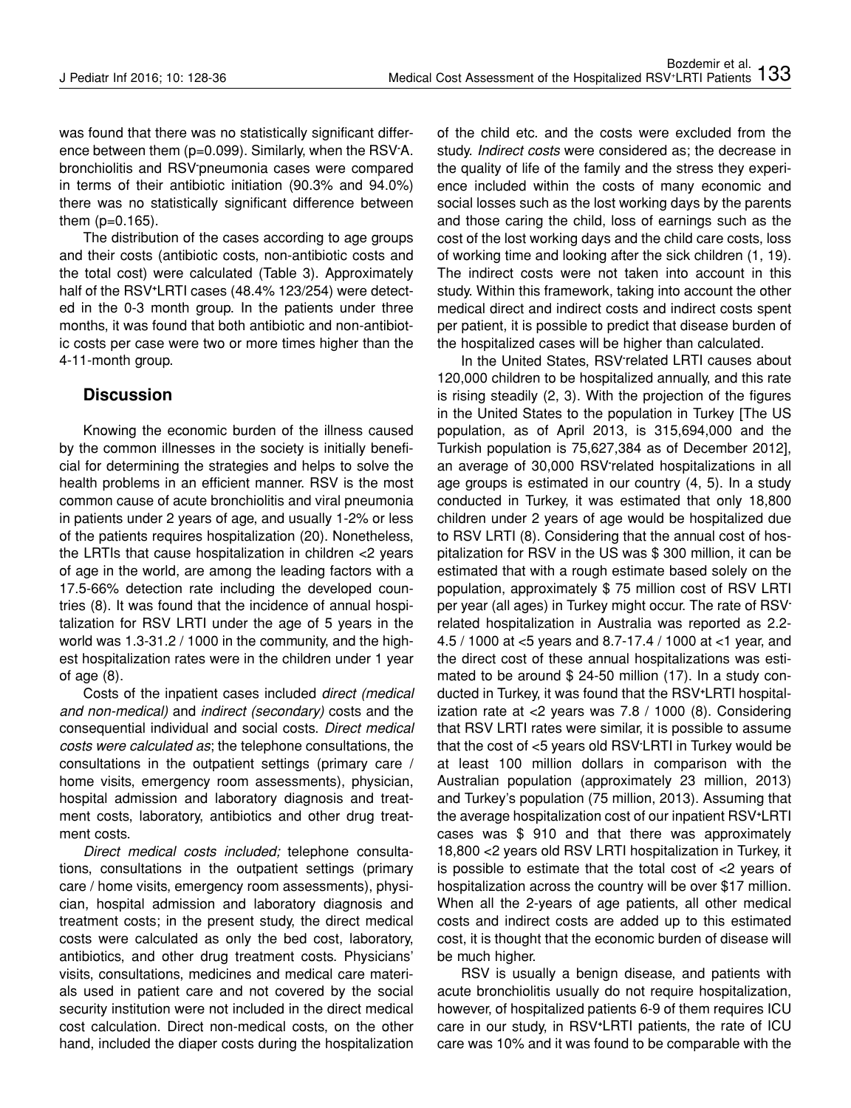was found that there was no statistically significant difference between them (p=0.099). Similarly, when the RSV**-**A. bronchiolitis and RSV**-**pneumonia cases were compared in terms of their antibiotic initiation (90.3% and 94.0%) there was no statistically significant difference between them (p=0.165).

The distribution of the cases according to age groups and their costs (antibiotic costs, non-antibiotic costs and the total cost) were calculated (Table 3). Approximately half of the RSV**+**LRTI cases (48.4% 123/254) were detected in the 0-3 month group. In the patients under three months, it was found that both antibiotic and non-antibiotic costs per case were two or more times higher than the 4-11-month group.

# **Discussion**

Knowing the economic burden of the illness caused by the common illnesses in the society is initially beneficial for determining the strategies and helps to solve the health problems in an efficient manner. RSV is the most common cause of acute bronchiolitis and viral pneumonia in patients under 2 years of age, and usually 1-2% or less of the patients requires hospitalization (20). Nonetheless, the LRTIs that cause hospitalization in children <2 years of age in the world, are among the leading factors with a 17.5-66% detection rate including the developed countries (8). It was found that the incidence of annual hospitalization for RSV LRTI under the age of 5 years in the world was 1.3-31.2 / 1000 in the community, and the highest hospitalization rates were in the children under 1 year of age (8).

Costs of the inpatient cases included *direct (medical and non-medical)* and *indirect (secondary)* costs and the consequential individual and social costs. *Direct medical costs were calculated as*; the telephone consultations, the consultations in the outpatient settings (primary care / home visits, emergency room assessments), physician, hospital admission and laboratory diagnosis and treatment costs, laboratory, antibiotics and other drug treatment costs.

*Direct medical costs included;* telephone consultations, consultations in the outpatient settings (primary care / home visits, emergency room assessments), physician, hospital admission and laboratory diagnosis and treatment costs; in the present study, the direct medical costs were calculated as only the bed cost, laboratory, antibiotics, and other drug treatment costs. Physicians' visits, consultations, medicines and medical care materials used in patient care and not covered by the social security institution were not included in the direct medical cost calculation. Direct non-medical costs, on the other hand, included the diaper costs during the hospitalization

of the child etc. and the costs were excluded from the study. *Indirect costs* were considered as; the decrease in the quality of life of the family and the stress they experience included within the costs of many economic and social losses such as the lost working days by the parents and those caring the child, loss of earnings such as the cost of the lost working days and the child care costs, loss of working time and looking after the sick children (1, 19). The indirect costs were not taken into account in this study. Within this framework, taking into account the other medical direct and indirect costs and indirect costs spent per patient, it is possible to predict that disease burden of the hospitalized cases will be higher than calculated.

In the United States, RSV**-**related LRTI causes about 120,000 children to be hospitalized annually, and this rate is rising steadily (2, 3). With the projection of the figures in the United States to the population in Turkey [The US population, as of April 2013, is 315,694,000 and the Turkish population is 75,627,384 as of December 2012], an average of 30,000 RSV**-**related hospitalizations in all age groups is estimated in our country (4, 5). In a study conducted in Turkey, it was estimated that only 18,800 children under 2 years of age would be hospitalized due to RSV LRTI (8). Considering that the annual cost of hospitalization for RSV in the US was \$ 300 million, it can be estimated that with a rough estimate based solely on the population, approximately \$ 75 million cost of RSV LRTI per year (all ages) in Turkey might occur. The rate of RSVrelated hospitalization in Australia was reported as 2.2- 4.5 / 1000 at <5 years and 8.7-17.4 / 1000 at <1 year, and the direct cost of these annual hospitalizations was estimated to be around \$ 24-50 million (17). In a study conducted in Turkey, it was found that the RSV**+**LRTI hospitalization rate at <2 years was 7.8 / 1000 (8). Considering that RSV LRTI rates were similar, it is possible to assume that the cost of <5 years old RSV**-**LRTI in Turkey would be at least 100 million dollars in comparison with the Australian population (approximately 23 million, 2013) and Turkey's population (75 million, 2013). Assuming that the average hospitalization cost of our inpatient RSV**<sup>+</sup>**LRTI cases was \$ 910 and that there was approximately 18,800 <2 years old RSV LRTI hospitalization in Turkey, it is possible to estimate that the total cost of <2 years of hospitalization across the country will be over \$17 million. When all the 2-years of age patients, all other medical costs and indirect costs are added up to this estimated cost, it is thought that the economic burden of disease will be much higher.

RSV is usually a benign disease, and patients with acute bronchiolitis usually do not require hospitalization, however, of hospitalized patients 6-9 of them requires ICU care in our study, in RSV**<sup>+</sup>**LRTI patients, the rate of ICU care was 10% and it was found to be comparable with the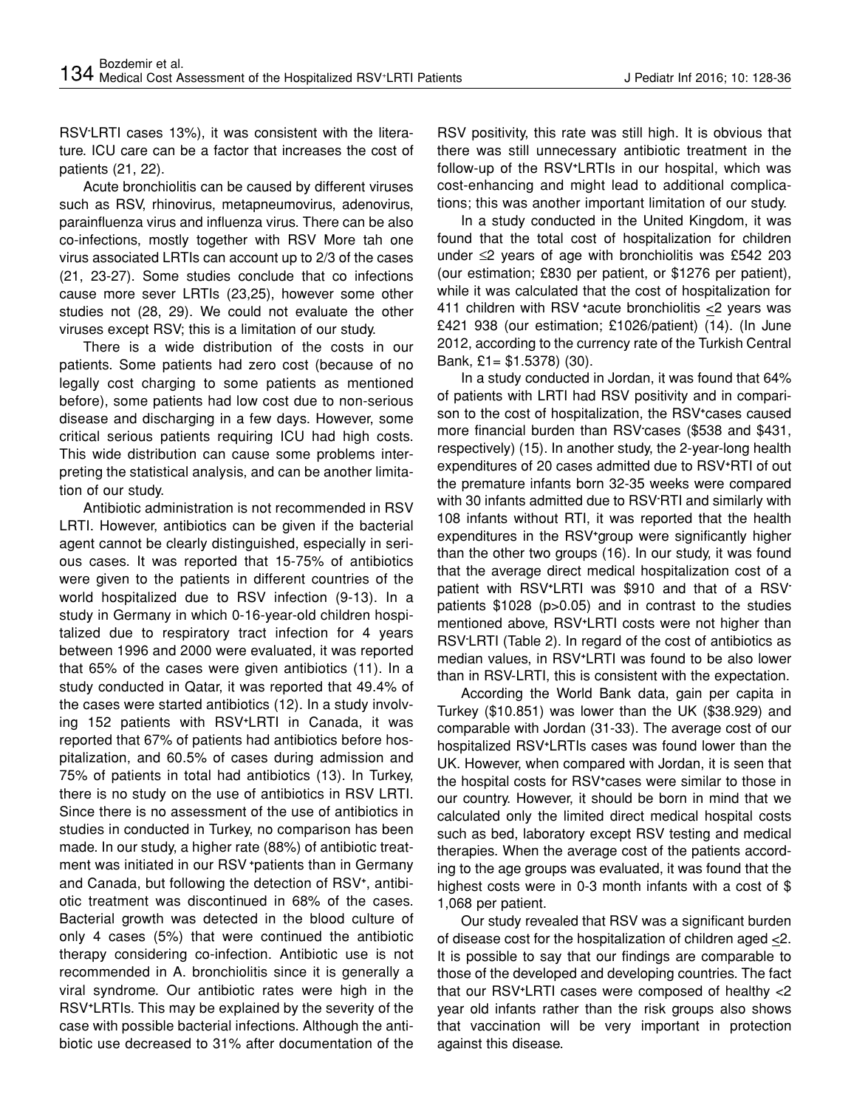RSV**-**LRTI cases 13%), it was consistent with the literature. ICU care can be a factor that increases the cost of patients (21, 22).

Acute bronchiolitis can be caused by different viruses such as RSV, rhinovirus, metapneumovirus, adenovirus, parainfluenza virus and influenza virus. There can be also co-infections, mostly together with RSV More tah one virus associated LRTIs can account up to 2/3 of the cases (21, 23-27). Some studies conclude that co infections cause more sever LRTIs (23,25), however some other studies not (28, 29). We could not evaluate the other viruses except RSV; this is a limitation of our study.

There is a wide distribution of the costs in our patients. Some patients had zero cost (because of no legally cost charging to some patients as mentioned before), some patients had low cost due to non-serious disease and discharging in a few days. However, some critical serious patients requiring ICU had high costs. This wide distribution can cause some problems interpreting the statistical analysis, and can be another limitation of our study.

Antibiotic administration is not recommended in RSV LRTI. However, antibiotics can be given if the bacterial agent cannot be clearly distinguished, especially in serious cases. It was reported that 15-75% of antibiotics were given to the patients in different countries of the world hospitalized due to RSV infection (9-13). In a study in Germany in which 0-16-year-old children hospitalized due to respiratory tract infection for 4 years between 1996 and 2000 were evaluated, it was reported that 65% of the cases were given antibiotics (11). In a study conducted in Qatar, it was reported that 49.4% of the cases were started antibiotics (12). In a study involving 152 patients with RSV**+**LRTI in Canada, it was reported that 67% of patients had antibiotics before hospitalization, and 60.5% of cases during admission and 75% of patients in total had antibiotics (13). In Turkey, there is no study on the use of antibiotics in RSV LRTI. Since there is no assessment of the use of antibiotics in studies in conducted in Turkey, no comparison has been made. In our study, a higher rate (88%) of antibiotic treatment was initiated in our RSV **+**patients than in Germany and Canada, but following the detection of RSV**+**, antibiotic treatment was discontinued in 68% of the cases. Bacterial growth was detected in the blood culture of only 4 cases (5%) that were continued the antibiotic therapy considering co-infection. Antibiotic use is not recommended in A. bronchiolitis since it is generally a viral syndrome. Our antibiotic rates were high in the RSV**+**LRTIs. This may be explained by the severity of the case with possible bacterial infections. Although the antibiotic use decreased to 31% after documentation of the

RSV positivity, this rate was still high. It is obvious that there was still unnecessary antibiotic treatment in the follow-up of the RSV**+**LRTIs in our hospital, which was cost-enhancing and might lead to additional complications; this was another important limitation of our study.

In a study conducted in the United Kingdom, it was found that the total cost of hospitalization for children under ≤2 years of age with bronchiolitis was £542 203 (our estimation; £830 per patient, or \$1276 per patient), while it was calculated that the cost of hospitalization for 411 children with RSV **+**acute bronchiolitis <2 years was £421 938 (our estimation; £1026/patient) (14). (In June 2012, according to the currency rate of the Turkish Central Bank, £1= \$1.5378) (30).

In a study conducted in Jordan, it was found that 64% of patients with LRTI had RSV positivity and in comparison to the cost of hospitalization, the RSV**+**cases caused more financial burden than RSV**-**cases (\$538 and \$431, respectively) (15). In another study, the 2-year-long health expenditures of 20 cases admitted due to RSV**+**RTI of out the premature infants born 32-35 weeks were compared with 30 infants admitted due to RSV**-**RTI and similarly with 108 infants without RTI, it was reported that the health expenditures in the RSV**+**group were significantly higher than the other two groups (16). In our study, it was found that the average direct medical hospitalization cost of a patient with RSV**+**LRTI was \$910 and that of a RSVpatients \$1028 (p>0.05) and in contrast to the studies mentioned above, RSV**+**LRTI costs were not higher than RSV**-**LRTI (Table 2). In regard of the cost of antibiotics as median values, in RSV**+**LRTI was found to be also lower than in RSV-LRTI, this is consistent with the expectation.

According the World Bank data, gain per capita in Turkey (\$10.851) was lower than the UK (\$38.929) and comparable with Jordan (31-33). The average cost of our hospitalized RSV**+**LRTIs cases was found lower than the UK. However, when compared with Jordan, it is seen that the hospital costs for RSV**+**cases were similar to those in our country. However, it should be born in mind that we calculated only the limited direct medical hospital costs such as bed, laboratory except RSV testing and medical therapies. When the average cost of the patients according to the age groups was evaluated, it was found that the highest costs were in 0-3 month infants with a cost of \$ 1,068 per patient.

Our study revealed that RSV was a significant burden of disease cost for the hospitalization of children aged <2. It is possible to say that our findings are comparable to those of the developed and developing countries. The fact that our RSV**+**LRTI cases were composed of healthy <2 year old infants rather than the risk groups also shows that vaccination will be very important in protection against this disease.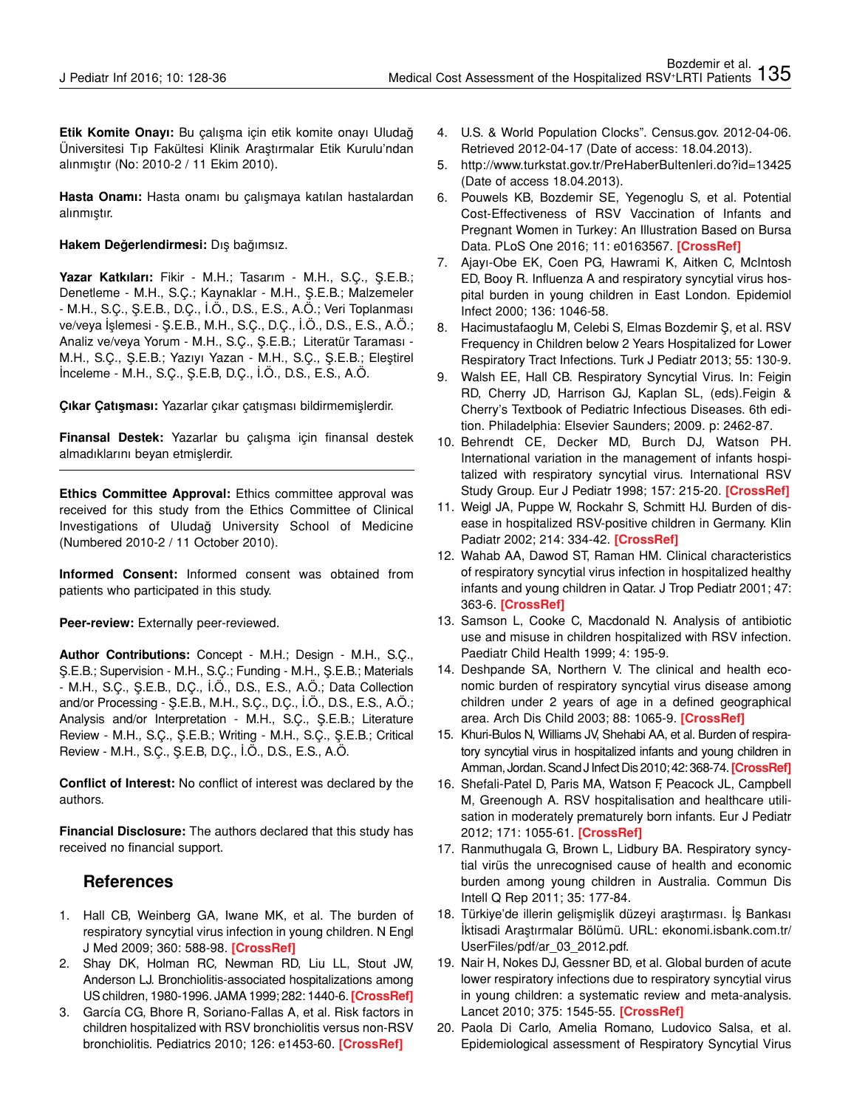**Etik Komite Onayı:** Bu çalışma için etik komite onayı Uludağ Üniversitesi Tıp Fakültesi Klinik Araştırmalar Etik Kurulu'ndan alınmıştır (No: 2010-2 / 11 Ekim 2010).

**Hasta Onamı:** Hasta onamı bu çalışmaya katılan hastalardan alınmıştır.

**Hakem Değerlendirmesi:** Dış bağımsız.

**Yazar Katkıları:** Fikir - M.H.; Tasarım - M.H., S.Ç., Ş.E.B.; Denetleme - M.H., S.Ç.; Kaynaklar - M.H., Ş.E.B.; Malzemeler - M.H., S.Ç., Ş.E.B., D.Ç., İ.Ö., D.S., E.S., A.Ö.; Veri Toplanması ve/veya İşlemesi - Ş.E.B., M.H., S.Ç., D.Ç., İ.Ö., D.S., E.S., A.Ö.; Analiz ve/veya Yorum - M.H., S.Ç., Ş.E.B.; Literatür Taraması - M.H., S.Ç., Ş.E.B.; Yazıyı Yazan - M.H., S.Ç., Ş.E.B.; Eleştirel İnceleme - M.H., S.Ç., Ş.E.B, D.Ç., İ.Ö., D.S., E.S., A.Ö.

**Çıkar Çatışması:** Yazarlar çıkar çatışması bildirmemişlerdir.

**Finansal Destek:** Yazarlar bu çalışma için finansal destek almadıklarını beyan etmişlerdir.

**Ethics Committee Approval:** Ethics committee approval was received for this study from the Ethics Committee of Clinical Investigations of Uludağ University School of Medicine (Numbered 2010-2 / 11 October 2010).

**Informed Consent:** Informed consent was obtained from patients who participated in this study.

**Peer-review:** Externally peer-reviewed.

**Author Contributions:** Concept - M.H.; Design - M.H., S.Ç., Ş.E.B.; Supervision - M.H., S.Ç.; Funding - M.H., Ş.E.B.; Materials - M.H., S.Ç., Ş.E.B., D.Ç., İ.Ö., D.S., E.S., A.Ö.; Data Collection and/or Processing - Ş.E.B., M.H., S.Ç., D.Ç., İ.Ö., D.S., E.S., A.Ö.; Analysis and/or Interpretation - M.H., S.Ç., Ş.E.B.; Literature Review - M.H., S.Ç., Ş.E.B.; Writing - M.H., S.Ç., Ş.E.B.; Critical Review - M.H., S.Ç., Ş.E.B, D.Ç., İ.Ö., D.S., E.S., A.Ö.

**Conflict of Interest:** No conflict of interest was declared by the authors.

**Financial Disclosure:** The authors declared that this study has received no financial support.

# **References**

- 1. Hall CB, Weinberg GA, Iwane MK, et al. The burden of respiratory syncytial virus infection in young children. N Engl J Med 2009; 360: 588-98. **[\[CrossRef\]](https://doi.org/10.1056/NEJMoa0804877)**
- 2. Shay DK, Holman RC, Newman RD, Liu LL, Stout JW, Anderson LJ. Bronchiolitis-associated hospitalizations among US children, 1980-1996. JAMA 1999; 282: 1440-6. **[\[CrossRef\]](https://doi.org/10.1001/jama.282.15.1440)**
- 3. García CG, Bhore R, Soriano-Fallas A, et al. Risk factors in children hospitalized with RSV bronchiolitis versus non-RSV bronchiolitis. Pediatrics 2010; 126: e1453-60. **[\[CrossRef\]](https://doi.org/10.1542/peds.2010-0507)**
- 4. U.S. & World Population Clocks". Census.gov. 2012-04-06. Retrieved 2012-04-17 (Date of access: 18.04.2013).
- 5. http://www.turkstat.gov.tr/PreHaberBultenleri.do?id=13425 (Date of access 18.04.2013).
- 6. Pouwels KB, Bozdemir SE, Yegenoglu S, et al. Potential Cost-Effectiveness of RSV Vaccination of Infants and Pregnant Women in Turkey: An Illustration Based on Bursa Data. PLoS One 2016; 11: e0163567. **[\[CrossRef\]](https://doi.org/10.1371/journal.pone.0163567)**
- 7. Ajayı-Obe EK, Coen PG, Hawrami K, Aitken C, McIntosh ED, Booy R. Influenza A and respiratory syncytial virus hospital burden in young children in East London. Epidemiol Infect 2000; 136: 1046-58.
- 8. Hacimustafaoglu M, Celebi S, Elmas Bozdemir Ş, et al. RSV Frequency in Children below 2 Years Hospitalized for Lower Respiratory Tract Infections. Turk J Pediatr 2013; 55: 130-9.
- 9. Walsh EE, Hall CB. Respiratory Syncytial Virus. In: Feigin RD, Cherry JD, Harrison GJ, Kaplan SL, (eds).Feigin & Cherry's Textbook of Pediatric Infectious Diseases. 6th edition. Philadelphia: Elsevier Saunders; 2009. p: 2462-87.
- 10. Behrendt CE, Decker MD, Burch DJ, Watson PH. International variation in the management of infants hospitalized with respiratory syncytial virus. International RSV Study Group. Eur J Pediatr 1998; 157: 215-20. **[\[CrossRef\]](https://doi.org/10.1007/s004310050798)**
- 11. Weigl JA, Puppe W, Rockahr S, Schmitt HJ. Burden of disease in hospitalized RSV-positive children in Germany. Klin Padiatr 2002; 214: 334-42. **[\[CrossRef\]](https://doi.org/10.1055/s-2002-35365)**
- 12. Wahab AA, Dawod ST, Raman HM. Clinical characteristics of respiratory syncytial virus infection in hospitalized healthy infants and young children in Qatar. J Trop Pediatr 2001; 47: 363-6. **[\[CrossRef\]](https://doi.org/10.1093/tropej/47.6.363)**
- 13. Samson L, Cooke C, Macdonald N. Analysis of antibiotic use and misuse in children hospitalized with RSV infection. Paediatr Child Health 1999; 4: 195-9.
- 14. Deshpande SA, Northern V. The clinical and health economic burden of respiratory syncytial virus disease among children under 2 years of age in a defined geographical area. Arch Dis Child 2003; 88: 1065-9. **[\[CrossRef\]](https://doi.org/10.1136/adc.88.12.1065)**
- 15. Khuri-Bulos N, Williams JV, Shehabi AA, et al. Burden of respiratory syncytial virus in hospitalized infants and young children in Amman, Jordan. Scand J Infect Dis 2010; 42: 368-74. **[\[CrossRef\]](https://doi.org/10.3109/00365540903496544)**
- 16. Shefali-Patel D, Paris MA, Watson F, Peacock JL, Campbell M, Greenough A. RSV hospitalisation and healthcare utilisation in moderately prematurely born infants. Eur J Pediatr 2012; 171: 1055-61. **[\[CrossRef\]](https://doi.org/10.1007/s00431-012-1673-0)**
- 17. Ranmuthugala G, Brown L, Lidbury BA. Respiratory syncytial virüs the unrecognised cause of health and economic burden among young children in Australia. Commun Dis Intell Q Rep 2011; 35: 177-84.
- 18. Türkiye'de illerin gelişmişlik düzeyi araştırması. İş Bankası İktisadi Araştırmalar Bölümü. URL: ekonomi.isbank.com.tr/ UserFiles/pdf/ar\_03\_2012.pdf.
- 19. Nair H, Nokes DJ, Gessner BD, et al. Global burden of acute lower respiratory infections due to respiratory syncytial virus in young children: a systematic review and meta-analysis. Lancet 2010; 375: 1545-55. **[\[CrossRef\]](https://doi.org/10.1016/S0140-6736(10)60206-1)**
- 20. Paola Di Carlo, Amelia Romano, Ludovico Salsa, et al. Epidemiological assessment of Respiratory Syncytial Virus